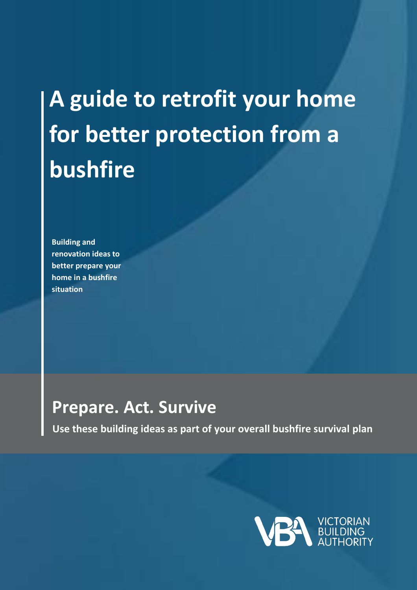# **A guide to retrofit your home for better protection from a bushfire**

**Building and renovation ideas to better prepare your home in a bushfire situation**

# **Prepare. Act. Survive**

 **Use these building ideas as part of your overall bushfire survival plan**

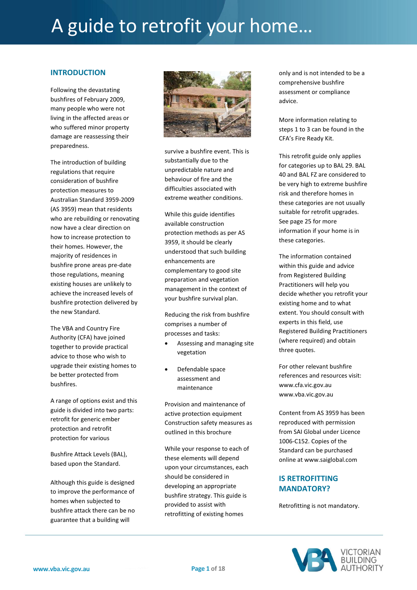#### **INTRODUCTION**

Following the devastating bushfires of February 2009, many people who were not living in the affected areas or who suffered minor property damage are reassessing their preparedness.

The introduction of building regulations that require consideration of bushfire protection measures to Australian Standard 3959-2009 (AS 3959) mean that residents who are rebuilding or renovating now have a clear direction on how to increase protection to their homes. However, the majority of residences in bushfire prone areas pre-date those regulations, meaning existing houses are unlikely to achieve the increased levels of bushfire protection delivered by the new Standard.

The VBA and Country Fire Authority (CFA) have joined together to provide practical advice to those who wish to upgrade their existing homes to be better protected from bushfires.

A range of options exist and this guide is divided into two parts: retrofit for generic ember protection and retrofit protection for various

Bushfire Attack Levels (BAL), based upon the Standard.

Although this guide is designed to improve the performance of homes when subjected to bushfire attack there can be no guarantee that a building will



survive a bushfire event. This is substantially due to the unpredictable nature and behaviour of fire and the difficulties associated with extreme weather conditions.

While this guide identifies available construction protection methods as per AS 3959, it should be clearly understood that such building enhancements are complementary to good site preparation and vegetation management in the context of your bushfire survival plan.

Reducing the risk from bushfire comprises a number of processes and tasks:

- Assessing and managing site vegetation
- Defendable space assessment and maintenance

Provision and maintenance of active protection equipment Construction safety measures as outlined in this brochure

While your response to each of these elements will depend upon your circumstances, each should be considered in developing an appropriate bushfire strategy. This guide is provided to assist with retrofitting of existing homes

only and is not intended to be a comprehensive bushfire assessment or compliance advice.

More information relating to steps 1 to 3 can be found in the CFA's Fire Ready Kit.

This retrofit guide only applies for categories up to BAL 29. BAL 40 and BAL FZ are considered to be very high to extreme bushfire risk and therefore homes in these categories are not usually suitable for retrofit upgrades. See page 25 for more information if your home is in these categories.

The information contained within this guide and advice from Registered Building Practitioners will help you decide whether you retrofit your existing home and to what extent. You should consult with experts in this field, use Registered Building Practitioners (where required) and obtain three quotes.

For other relevant bushfire references and resources visit: [www.cfa.vic.gov.au](http://www.cfa.vic.gov.au/) [www.vba.vic.gov.au](http://www.vba.vic.gov.au/)

Content from AS 3959 has been reproduced with permission from SAI Global under Licence 1006-C152. Copies of the Standard can be purchased online a[t www.saiglobal.com](http://www.saiglobal.com/)

### **IS RETROFITTING MANDATORY?**

Retrofitting is not mandatory.

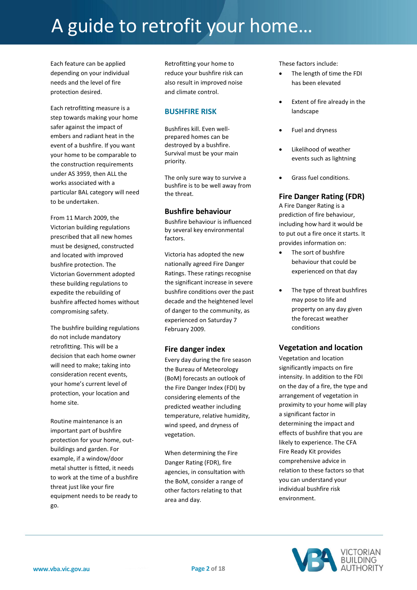Each feature can be applied depending on your individual needs and the level of fire protection desired.

Each retrofitting measure is a step towards making your home safer against the impact of embers and radiant heat in the event of a bushfire. If you want your home to be comparable to the construction requirements under AS 3959, then ALL the works associated with a particular BAL category will need to be undertaken.

From 11 March 2009, the Victorian building regulations prescribed that all new homes must be designed, constructed and located with improved bushfire protection. The Victorian Government adopted these building regulations to expedite the rebuilding of bushfire affected homes without compromising safety.

The bushfire building regulations do not include mandatory retrofitting. This will be a decision that each home owner will need to make; taking into consideration recent events, your home's current level of protection, your location and home site.

Routine maintenance is an important part of bushfire protection for your home, outbuildings and garden. For example, if a window/door metal shutter is fitted, it needs to work at the time of a bushfire threat just like your fire equipment needs to be ready to go.

Retrofitting your home to reduce your bushfire risk can also result in improved noise and climate control.

#### **BUSHFIRE RISK**

Bushfires kill. Even wellprepared homes can be destroyed by a bushfire. Survival must be your main priority.

The only sure way to survive a bushfire is to be well away from the threat.

#### **Bushfire behaviour**

Bushfire behaviour is influenced by several key environmental factors.

Victoria has adopted the new nationally agreed Fire Danger Ratings. These ratings recognise the significant increase in severe bushfire conditions over the past decade and the heightened level of danger to the community, as experienced on Saturday 7 February 2009.

#### **Fire danger index**

Every day during the fire season the Bureau of Meteorology (BoM) forecasts an outlook of the Fire Danger Index (FDI) by considering elements of the predicted weather including temperature, relative humidity, wind speed, and dryness of vegetation.

When determining the Fire Danger Rating (FDR), fire agencies, in consultation with the BoM, consider a range of other factors relating to that area and day.

These factors include:

- The length of time the FDI has been elevated
- Extent of fire already in the landscape
- Fuel and dryness
- Likelihood of weather events such as lightning
- Grass fuel conditions.

#### **Fire Danger Rating (FDR)**

A Fire Danger Rating is a prediction of fire behaviour, including how hard it would be to put out a fire once it starts. It provides information on:

- The sort of bushfire behaviour that could be experienced on that day
- The type of threat bushfires may pose to life and property on any day given the forecast weather conditions

### **Vegetation and location**

Vegetation and location significantly impacts on fire intensity. In addition to the FDI on the day of a fire, the type and arrangement of vegetation in proximity to your home will play a significant factor in determining the impact and effects of bushfire that you are likely to experience. The CFA Fire Ready Kit provides comprehensive advice in relation to these factors so that you can understand your individual bushfire risk environment.

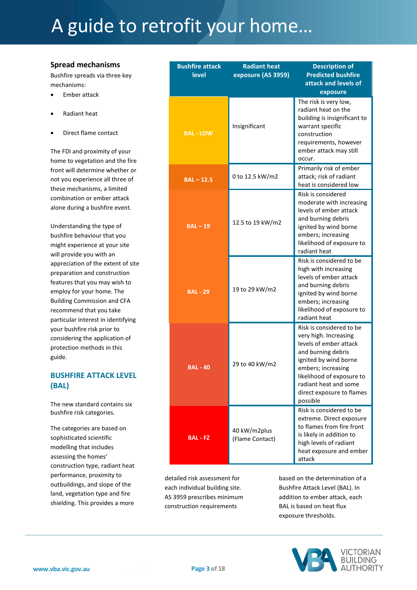#### **Spread mechanisms**

Bushfire spreads via three key mechanisms:

- Ember attack
- Radiant heat
- Direct flame contact

The FDI and proximity of your home to vegetation and the fire front will determine whether or not you experience all three of these mechanisms, a limited combination or ember attack alone during a bushfire event.

Understanding the type of bushfire behaviour that you might experience at your site will provide you with an appreciation of the extent of site preparation and construction features that you may wish to employ for your home. The Building Commission and CFA recommend that you take particular interest in identifying your bushfire risk prior to considering the application of protection methods in this guide.

### **BUSHFIRE ATTACK LEVEL (BAL)**

The new standard contains six bushfire risk categories.

The categories are based on sophisticated scientific modelling that includes assessing the homes' construction type, radiant heat performance, proximity to outbuildings, and slope of the land, vegetation type and fire shielding. This provides a more

| <b>Bushfire attack</b><br><b>level</b> | <b>Radiant heat</b><br>exposure (AS 3959) | <b>Description of</b><br><b>Predicted bushfire</b><br>attack and levels of<br>exposure                                                                                                                                                          |
|----------------------------------------|-------------------------------------------|-------------------------------------------------------------------------------------------------------------------------------------------------------------------------------------------------------------------------------------------------|
| <b>BAL - LOW</b>                       | Insignificant                             | The risk is very low,<br>radiant heat on the<br>building is insignificant to<br>warrant specific<br>construction<br>requirements, however<br>ember attack may still<br>occur.                                                                   |
| $BAL - 12.5$                           | 0 to 12.5 kW/m2                           | Primarily risk of ember<br>attack; risk of radiant<br>heat is considered low                                                                                                                                                                    |
| $BAL - 19$                             | 12.5 to 19 kW/m2                          | Risk is considered<br>moderate with increasing<br>levels of ember attack<br>and burning debris<br>ignited by wind borne<br>embers; increasing<br>likelihood of exposure to<br>radiant heat                                                      |
| <b>BAL - 29</b>                        | 19 to 29 kW/m2                            | Risk is considered to be<br>high with increasing<br>levels of ember attack<br>and burning debris<br>ignited by wind borne<br>embers; increasing<br>likelihood of exposure to<br>radiant heat                                                    |
| <b>BAL - 40</b>                        | 29 to 40 kW/m2                            | Risk is considered to be<br>very high. Increasing<br>levels of ember attack<br>and burning debris<br>ignited by wind borne<br>embers; increasing<br>likelihood of exposure to<br>radiant heat and some<br>direct exposure to flames<br>possible |
| BAL - FZ                               | 40 kW/m2plus<br>(Flame Contact)           | Risk is considered to be<br>extreme. Direct exposure<br>to flames from fire front<br>is likely in addition to<br>high levels of radiant<br>heat exposure and ember<br>attack                                                                    |

detailed risk assessment for each individual building site. AS 3959 prescribes minimum construction requirements

based on the determination of a Bushfire Attack Level (BAL). In addition to ember attack, each BAL is based on heat flux exposure thresholds.

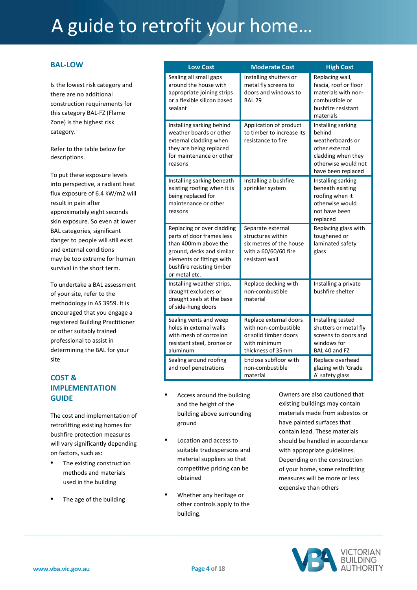#### **BAL-LOW**

Is the lowest risk category and there are no additional construction requirements for this category BAL-FZ (Flame Zone) is the highest risk category.

Refer to the table below for descriptions.

To put these exposure levels into perspective, a radiant heat flux exposure of 6.4 kW/m2 will result in pain after approximately eight seconds skin exposure. So even at lower BAL categories, significant danger to people will still exist and external conditions may be too extreme for human survival in the short term.

To undertake a BAL assessment of your site, refer to the methodology in AS 3959. It is encouraged that you engage a registered Building Practitioner or other suitably trained professional to assist in determining the BAL for your site

### **COST & IMPLEMENTATION GUIDE**

The cost and implementation of retrofitting existing homes for bushfire protection measures will vary significantly depending on factors, such as:

- **•** The existing construction methods and materials used in the building
- **•** The age of the building

| <b>Low Cost</b>                                                                                                                                                                         | <b>Moderate Cost</b>                                                                                         | <b>High Cost</b>                                                                                                                      |
|-----------------------------------------------------------------------------------------------------------------------------------------------------------------------------------------|--------------------------------------------------------------------------------------------------------------|---------------------------------------------------------------------------------------------------------------------------------------|
| Sealing all small gaps<br>around the house with<br>appropriate joining strips<br>or a flexible silicon based<br>sealant                                                                 | Installing shutters or<br>metal fly screens to<br>doors and windows to<br><b>BAL 29</b>                      | Replacing wall,<br>fascia, roof or floor<br>materials with non-<br>combustible or<br>bushfire resistant<br>materials                  |
| Installing sarking behind<br>weather boards or other<br>external cladding when<br>they are being replaced<br>for maintenance or other<br>reasons                                        | Application of product<br>to timber to increase its<br>resistance to fire                                    | Installing sarking<br>behind<br>weatherboards or<br>other external<br>cladding when they<br>otherwise would not<br>have been replaced |
| Installing sarking beneath<br>existing roofing when it is<br>being replaced for<br>maintenance or other<br>reasons                                                                      | Installing a bushfire<br>sprinkler system                                                                    | Installing sarking<br>beneath existing<br>roofing when it<br>otherwise would<br>not have been<br>replaced                             |
| Replacing or over cladding<br>parts of door frames less<br>than 400mm above the<br>ground, decks and similar<br>elements or fittings with<br>bushfire resisting timber<br>or metal etc. | Separate external<br>structures within<br>six metres of the house<br>with a 60/60/60 fire<br>resistant wall  | Replacing glass with<br>toughened or<br>laminated safety<br>glass                                                                     |
| Installing weather strips,<br>draught excluders or<br>draught seals at the base<br>of side-hung doors                                                                                   | Replace decking with<br>non-combustible<br>material                                                          | Installing a private<br>bushfire shelter                                                                                              |
| Sealing vents and weep<br>holes in external walls<br>with mesh of corrosion<br>resistant steel, bronze or<br>aluminum                                                                   | Replace external doors<br>with non-combustible<br>or solid timber doors<br>with minimum<br>thickness of 35mm | Installing tested<br>shutters or metal fly<br>screens to doors and<br>windows for<br>BAL 40 and FZ                                    |
| Sealing around roofing<br>and roof penetrations                                                                                                                                         | Enclose subfloor with<br>non-combustible<br>material                                                         | Replace overhead<br>glazing with 'Grade<br>A' safety glass                                                                            |

- **•** Access around the building and the height of the building above surrounding ground
- **•** Location and access to suitable tradespersons and material suppliers so that competitive pricing can be obtained
- **•** Whether any heritage or other controls apply to the building.

Owners are also cautioned that existing buildings may contain materials made from asbestos or have painted surfaces that contain lead. These materials should be handled in accordance with appropriate guidelines. Depending on the construction of your home, some retrofitting measures will be more or less expensive than others

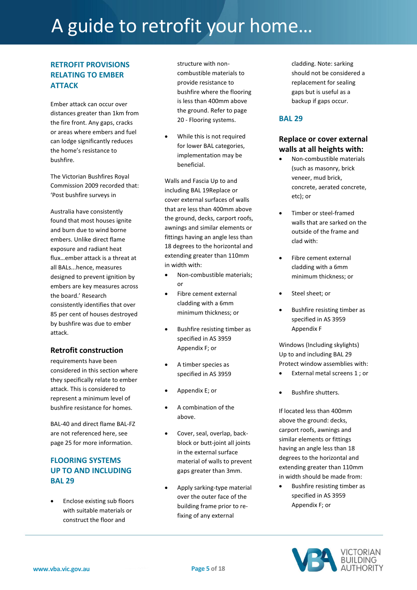# **RETROFIT PROVISIONS RELATING TO EMBER ATTACK**

Ember attack can occur over distances greater than 1km from the fire front. Any gaps, cracks or areas where embers and fuel can lodge significantly reduces the home's resistance to bushfire.

The Victorian Bushfires Royal Commission 2009 recorded that: 'Post bushfire surveys in

Australia have consistently found that most houses ignite and burn due to wind borne embers. Unlike direct flame exposure and radiant heat flux…ember attack is a threat at all BALs...hence, measures designed to prevent ignition by embers are key measures across the board.' Research consistently identifies that over 85 per cent of houses destroyed by bushfire was due to ember attack.

### **Retrofit construction**

requirements have been considered in this section where they specifically relate to ember attack. This is considered to represent a minimum level of bushfire resistance for homes.

BAL-40 and direct flame BAL-FZ are not referenced here, see page 25 for more information.

# **FLOORING SYSTEMS UP TO AND INCLUDING BAL 29**

 Enclose existing sub floors with suitable materials or construct the floor and

structure with noncombustible materials to provide resistance to bushfire where the flooring is less than 400mm above the ground. Refer to page 20 - Flooring systems.

 While this is not required for lower BAL categories, implementation may be beneficial.

Walls and Fascia Up to and including BAL 19Replace or cover external surfaces of walls that are less than 400mm above the ground, decks, carport roofs, awnings and similar elements or fittings having an angle less than 18 degrees to the horizontal and extending greater than 110mm in width with:

- Non-combustible materials; or
- Fibre cement external cladding with a 6mm minimum thickness; or
- Bushfire resisting timber as specified in AS 3959 Appendix F; or
- A timber species as specified in AS 3959
- Appendix E; or
- A combination of the above.
- Cover, seal, overlap, backblock or butt-joint all joints in the external surface material of walls to prevent gaps greater than 3mm.
- Apply sarking-type material over the outer face of the building frame prior to refixing of any external

cladding. Note: sarking should not be considered a replacement for sealing gaps but is useful as a backup if gaps occur.

### **BAL 29**

# **Replace or cover external walls at all heights with:**

- Non-combustible materials (such as masonry, brick veneer, mud brick, concrete, aerated concrete, etc); or
- Timber or steel-framed walls that are sarked on the outside of the frame and clad with:
- Fibre cement external cladding with a 6mm minimum thickness; or
- Steel sheet; or
- Bushfire resisting timber as specified in AS 3959 Appendix F

Windows (Including skylights) Up to and including BAL 29 Protect window assemblies with:

- External metal screens 1 ; or
- Bushfire shutters.

If located less than 400mm above the ground: decks, carport roofs, awnings and similar elements or fittings having an angle less than 18 degrees to the horizontal and extending greater than 110mm in width should be made from:

 Bushfire resisting timber as specified in AS 3959 Appendix F; or

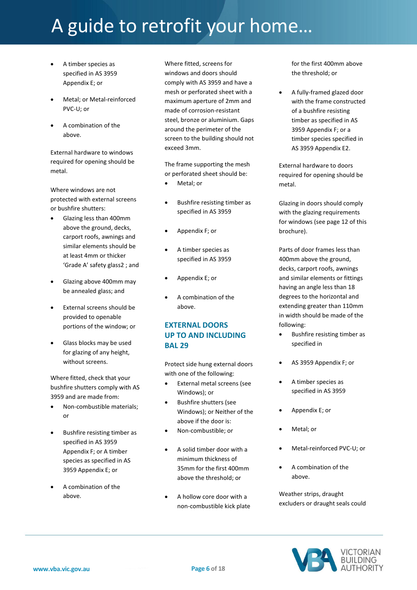- A timber species as specified in AS 3959 Appendix E; or
- Metal; or Metal-reinforced PVC-U; or
- A combination of the above.

External hardware to windows required for opening should be metal.

Where windows are not protected with external screens or bushfire shutters:

- Glazing less than 400mm above the ground, decks, carport roofs, awnings and similar elements should be at least 4mm or thicker 'Grade A' safety glass2 ; and
- Glazing above 400mm may be annealed glass; and
- External screens should be provided to openable portions of the window; or
- Glass blocks may be used for glazing of any height, without screens.

Where fitted, check that your bushfire shutters comply with AS 3959 and are made from:

- Non-combustible materials; or
- Bushfire resisting timber as specified in AS 3959 Appendix F; or A timber species as specified in AS 3959 Appendix E; or
- A combination of the above.

Where fitted, screens for windows and doors should comply with AS 3959 and have a mesh or perforated sheet with a maximum aperture of 2mm and made of corrosion-resistant steel, bronze or aluminium. Gaps around the perimeter of the screen to the building should not exceed 3mm.

The frame supporting the mesh or perforated sheet should be:

- Metal; or
- Bushfire resisting timber as specified in AS 3959
- Appendix F; or
- A timber species as specified in AS 3959
- Appendix E; or
- A combination of the above.

# **EXTERNAL DOORS UP TO AND INCLUDING BAL 29**

Protect side hung external doors with one of the following:

- External metal screens (see Windows); or
- Bushfire shutters (see Windows); or Neither of the above if the door is:
- Non-combustible; or
- A solid timber door with a minimum thickness of 35mm for the first 400mm above the threshold; or
- A hollow core door with a non-combustible kick plate

for the first 400mm above the threshold; or

 A fully-framed glazed door with the frame constructed of a bushfire resisting timber as specified in AS 3959 Appendix F; or a timber species specified in AS 3959 Appendix E2.

External hardware to doors required for opening should be metal.

Glazing in doors should comply with the glazing requirements for windows (see page 12 of this brochure).

Parts of door frames less than 400mm above the ground, decks, carport roofs, awnings and similar elements or fittings having an angle less than 18 degrees to the horizontal and extending greater than 110mm in width should be made of the following:

- Bushfire resisting timber as specified in
- AS 3959 Appendix F; or
- A timber species as specified in AS 3959
- Appendix E; or
- Metal; or
- Metal-reinforced PVC-U; or
- A combination of the above.

Weather strips, draught excluders or draught seals could

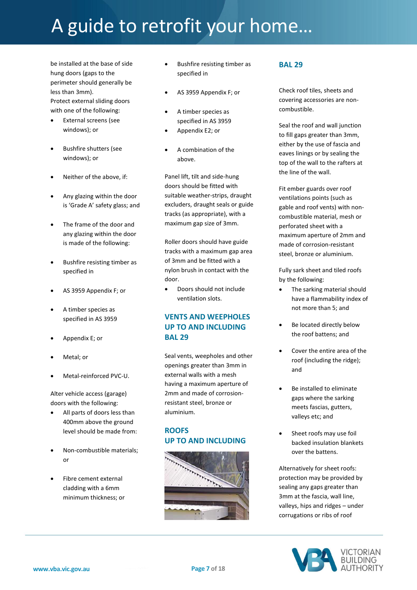be installed at the base of side hung doors (gaps to the perimeter should generally be less than 3mm). Protect external sliding doors with one of the following:

- External screens (see windows); or
- Bushfire shutters (see windows); or
- Neither of the above, if:
- Any glazing within the door is 'Grade A' safety glass; and
- The frame of the door and any glazing within the door is made of the following:
- Bushfire resisting timber as specified in
- AS 3959 Appendix F; or
- A timber species as specified in AS 3959
- Appendix E; or
- Metal; or
- Metal-reinforced PVC-U.

Alter vehicle access (garage) doors with the following:

- All parts of doors less than 400mm above the ground level should be made from:
- Non-combustible materials; or
- Fibre cement external cladding with a 6mm minimum thickness; or
- Bushfire resisting timber as specified in
- AS 3959 Appendix F; or
- A timber species as specified in AS 3959
- Appendix E2; or
- A combination of the above.

Panel lift, tilt and side-hung doors should be fitted with suitable weather-strips, draught excluders, draught seals or guide tracks (as appropriate), with a maximum gap size of 3mm.

Roller doors should have guide tracks with a maximum gap area of 3mm and be fitted with a nylon brush in contact with the door.

 Doors should not include ventilation slots.

### **VENTS AND WEEPHOLES UP TO AND INCLUDING BAL 29**

Seal vents, weepholes and other openings greater than 3mm in external walls with a mesh having a maximum aperture of 2mm and made of corrosionresistant steel, bronze or aluminium.

#### **ROOFS UP TO AND INCLUDING**



#### **BAL 29**

Check roof tiles, sheets and covering accessories are noncombustible.

Seal the roof and wall junction to fill gaps greater than 3mm, either by the use of fascia and eaves linings or by sealing the top of the wall to the rafters at the line of the wall.

Fit ember guards over roof ventilations points (such as gable and roof vents) with noncombustible material, mesh or perforated sheet with a maximum aperture of 2mm and made of corrosion-resistant steel, bronze or aluminium.

Fully sark sheet and tiled roofs by the following:

- The sarking material should have a flammability index of not more than 5; and
- Be located directly below the roof battens; and
- Cover the entire area of the roof (including the ridge); and
- Be installed to eliminate gaps where the sarking meets fascias, gutters, valleys etc; and
- Sheet roofs may use foil backed insulation blankets over the battens.

Alternatively for sheet roofs: protection may be provided by sealing any gaps greater than 3mm at the fascia, wall line, valleys, hips and ridges – under corrugations or ribs of roof

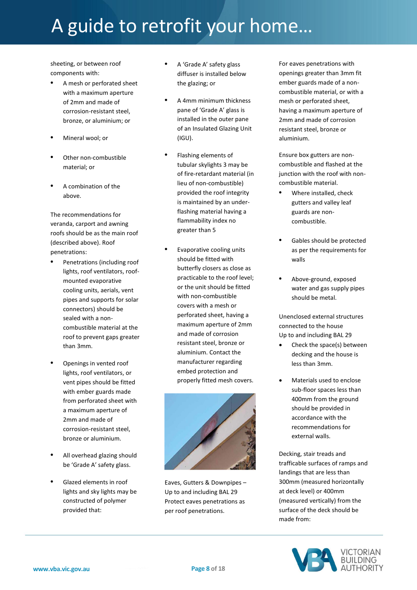sheeting, or between roof components with:

- **•** A mesh or perforated sheet with a maximum aperture of 2mm and made of corrosion-resistant steel, bronze, or aluminium; or
- **•** Mineral wool; or
- **•** Other non-combustible material; or
- **•** A combination of the above.

The recommendations for veranda, carport and awning roofs should be as the main roof (described above). Roof penetrations:

- **•** Penetrations (including roof lights, roof ventilators, roofmounted evaporative cooling units, aerials, vent pipes and supports for solar connectors) should be sealed with a noncombustible material at the roof to prevent gaps greater than 3mm.
- **•** Openings in vented roof lights, roof ventilators, or vent pipes should be fitted with ember guards made from perforated sheet with a maximum aperture of 2mm and made of corrosion-resistant steel, bronze or aluminium.
- **•** All overhead glazing should be 'Grade A' safety glass.
- **•** Glazed elements in roof lights and sky lights may be constructed of polymer provided that:
- **•** A 'Grade A' safety glass diffuser is installed below the glazing; or
- **•** A 4mm minimum thickness pane of 'Grade A' glass is installed in the outer pane of an Insulated Glazing Unit (IGU).
- **•** Flashing elements of tubular skylights 3 may be of fire-retardant material (in lieu of non-combustible) provided the roof integrity is maintained by an underflashing material having a flammability index no greater than 5
- **•** Evaporative cooling units should be fitted with butterfly closers as close as practicable to the roof level; or the unit should be fitted with non-combustible covers with a mesh or perforated sheet, having a maximum aperture of 2mm and made of corrosion resistant steel, bronze or aluminium. Contact the manufacturer regarding embed protection and properly fitted mesh covers.



Eaves, Gutters & Downpipes – Up to and including BAL 29 Protect eaves penetrations as per roof penetrations.

For eaves penetrations with openings greater than 3mm fit ember guards made of a noncombustible material, or with a mesh or perforated sheet, having a maximum aperture of 2mm and made of corrosion resistant steel, bronze or aluminium.

Ensure box gutters are noncombustible and flashed at the junction with the roof with noncombustible material.

- **•** Where installed, check gutters and valley leaf guards are noncombustible.
- **•** Gables should be protected as per the requirements for walls
- **•** Above-ground, exposed water and gas supply pipes should be metal.

Unenclosed external structures connected to the house Up to and including BAL 29

- Check the space(s) between decking and the house is less than 3mm.
- Materials used to enclose sub-floor spaces less than 400mm from the ground should be provided in accordance with the recommendations for external walls.

Decking, stair treads and trafficable surfaces of ramps and landings that are less than 300mm (measured horizontally at deck level) or 400mm (measured vertically) from the surface of the deck should be made from:

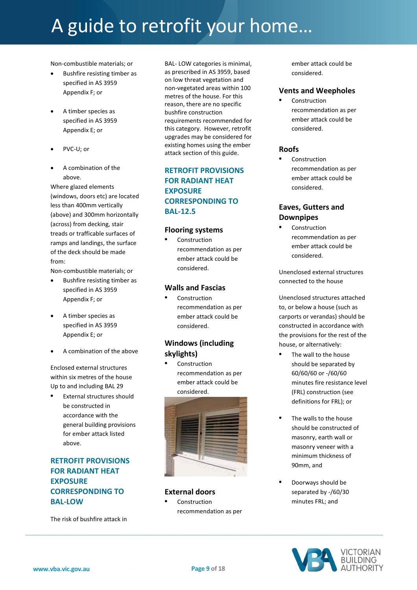Non-combustible materials; or

- Bushfire resisting timber as specified in AS 3959 Appendix F; or
- A timber species as specified in AS 3959 Appendix E; or
- PVC-U; or
- A combination of the above.

Where glazed elements (windows, doors etc) are located less than 400mm vertically (above) and 300mm horizontally (across) from decking, stair treads or trafficable surfaces of ramps and landings, the surface of the deck should be made from:

Non-combustible materials; or

- Bushfire resisting timber as specified in AS 3959 Appendix F; or
- A timber species as specified in AS 3959 Appendix E; or
- A combination of the above

Enclosed external structures within six metres of the house Up to and including BAL 29

**•** External structures should be constructed in accordance with the general building provisions for ember attack listed above.

# **RETROFIT PROVISIONS FOR RADIANT HEAT EXPOSURE CORRESPONDING TO BAL-LOW**

The risk of bushfire attack in

BAL- LOW categories is minimal, as prescribed in AS 3959, based on low threat vegetation and non-vegetated areas within 100 metres of the house. For this reason, there are no specific bushfire construction requirements recommended for this category. However, retrofit upgrades may be considered for existing homes using the ember attack section of this guide.

# **RETROFIT PROVISIONS FOR RADIANT HEAT EXPOSURE CORRESPONDING TO BAL-12.5**

#### **Flooring systems**

**•** Construction recommendation as per ember attack could be considered.

#### **Walls and Fascias**

**•** Construction recommendation as per ember attack could be considered.

### **Windows (including skylights)**

**•** Construction recommendation as per ember attack could be considered.



#### **External doors**

**•** Construction recommendation as per ember attack could be considered.

#### **Vents and Weepholes**

**•** Construction recommendation as per ember attack could be considered.

#### **Roofs**

**•** Construction recommendation as per ember attack could be considered.

# **Eaves, Gutters and Downpipes**

**•** Construction recommendation as per ember attack could be considered.

Unenclosed external structures connected to the house

Unenclosed structures attached to, or below a house (such as carports or verandas) should be constructed in accordance with the provisions for the rest of the house, or alternatively:

- **•** The wall to the house should be separated by 60/60/60 or -/60/60 minutes fire resistance level (FRL) construction (see definitions for FRL); or
- **•** The walls to the house should be constructed of masonry, earth wall or masonry veneer with a minimum thickness of 90mm, and
- **•** Doorways should be separated by -/60/30 minutes FRL; and

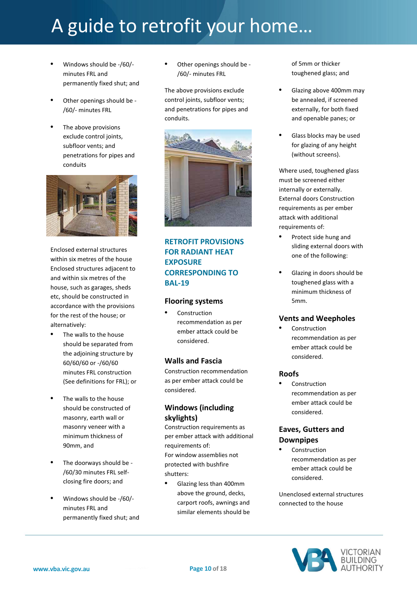- **•** Windows should be -/60/ minutes FRL and permanently fixed shut; and
- **•** Other openings should be /60/- minutes FRL
- **•** The above provisions exclude control joints, subfloor vents; and penetrations for pipes and conduits



Enclosed external structures within six metres of the house Enclosed structures adjacent to and within six metres of the house, such as garages, sheds etc, should be constructed in accordance with the provisions for the rest of the house; or alternatively:

- **•** The walls to the house should be separated from the adjoining structure by 60/60/60 or -/60/60 minutes FRL construction (See definitions for FRL); or
- **•** The walls to the house should be constructed of masonry, earth wall or masonry veneer with a minimum thickness of 90mm, and
- **•** The doorways should be /60/30 minutes FRL selfclosing fire doors; and
- **•** Windows should be -/60/ minutes FRL and permanently fixed shut; and

**•** Other openings should be - /60/- minutes FRL

The above provisions exclude control joints, subfloor vents; and penetrations for pipes and conduits.



# **RETROFIT PROVISIONS FOR RADIANT HEAT EXPOSURE CORRESPONDING TO BAL-19**

#### **Flooring systems**

**•** Construction recommendation as per ember attack could be considered.

#### **Walls and Fascia**

Construction recommendation as per ember attack could be considered.

### **Windows (including skylights)**

Construction requirements as per ember attack with additional requirements of: For window assemblies not protected with bushfire shutters:

**•** Glazing less than 400mm above the ground, decks, carport roofs, awnings and similar elements should be of 5mm or thicker toughened glass; and

- **•** Glazing above 400mm may be annealed, if screened externally, for both fixed and openable panes; or
- **•** Glass blocks may be used for glazing of any height (without screens).

Where used, toughened glass must be screened either internally or externally. External doors Construction requirements as per ember attack with additional requirements of:

- **•** Protect side hung and sliding external doors with one of the following:
- **•** Glazing in doors should be toughened glass with a minimum thickness of 5mm.

### **Vents and Weepholes**

**•** Construction recommendation as per ember attack could be considered.

#### **Roofs**

**•** Construction recommendation as per ember attack could be considered.

### **Eaves, Gutters and Downpipes**

**•** Construction recommendation as per ember attack could be considered.

Unenclosed external structures connected to the house

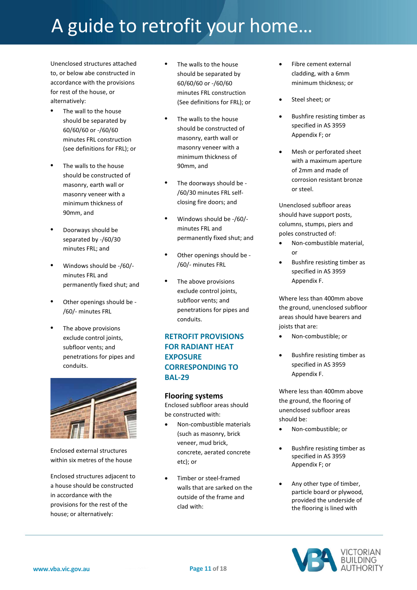Unenclosed structures attached to, or below abe constructed in accordance with the provisions for rest of the house, or alternatively:

- **•** The wall to the house should be separated by 60/60/60 or -/60/60 minutes FRL construction (see definitions for FRL); or
- **•** The walls to the house should be constructed of masonry, earth wall or masonry veneer with a minimum thickness of 90mm, and
- **•** Doorways should be separated by -/60/30 minutes FRL; and
- **•** Windows should be -/60/ minutes FRL and permanently fixed shut; and
- **•** Other openings should be /60/- minutes FRL
- **•** The above provisions exclude control joints, subfloor vents; and penetrations for pipes and conduits.



Enclosed external structures within six metres of the house

Enclosed structures adjacent to a house should be constructed in accordance with the provisions for the rest of the house; or alternatively:

- **•** The walls to the house should be separated by 60/60/60 or -/60/60 minutes FRL construction (See definitions for FRL); or
- **•** The walls to the house should be constructed of masonry, earth wall or masonry veneer with a minimum thickness of 90mm, and
- **•** The doorways should be /60/30 minutes FRL selfclosing fire doors; and
- **•** Windows should be -/60/ minutes FRL and permanently fixed shut; and
- **•** Other openings should be /60/- minutes FRL
- **•** The above provisions exclude control joints, subfloor vents; and penetrations for pipes and conduits.

### **RETROFIT PROVISIONS FOR RADIANT HEAT EXPOSURE CORRESPONDING TO BAL-29**

#### **Flooring systems**

Enclosed subfloor areas should be constructed with:

- Non-combustible materials (such as masonry, brick veneer, mud brick, concrete, aerated concrete etc); or
- Timber or steel-framed walls that are sarked on the outside of the frame and clad with:
- Fibre cement external cladding, with a 6mm minimum thickness; or
- Steel sheet; or
- Bushfire resisting timber as specified in AS 3959 Appendix F; or
- Mesh or perforated sheet with a maximum aperture of 2mm and made of corrosion resistant bronze or steel.

Unenclosed subfloor areas should have support posts, columns, stumps, piers and poles constructed of:

- Non-combustible material, or
- Bushfire resisting timber as specified in AS 3959 Appendix F.

Where less than 400mm above the ground, unenclosed subfloor areas should have bearers and joists that are:

- Non-combustible; or
- Bushfire resisting timber as specified in AS 3959 Appendix F.

Where less than 400mm above the ground, the flooring of unenclosed subfloor areas should be:

- Non-combustible; or
- Bushfire resisting timber as specified in AS 3959 Appendix F; or
- Any other type of timber, particle board or plywood, provided the underside of the flooring is lined with

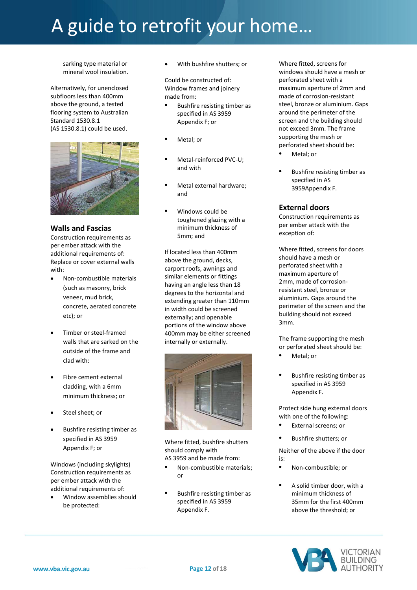sarking type material or mineral wool insulation.

Alternatively, for unenclosed subfloors less than 400mm above the ground, a tested flooring system to Australian Standard 1530.8.1 (AS 1530.8.1) could be used.



#### **Walls and Fascias**

Construction requirements as per ember attack with the additional requirements of: Replace or cover external walls with:

- Non-combustible materials (such as masonry, brick veneer, mud brick, concrete, aerated concrete etc); or
- Timber or steel-framed walls that are sarked on the outside of the frame and clad with:
- Fibre cement external cladding, with a 6mm minimum thickness; or
- Steel sheet; or
- Bushfire resisting timber as specified in AS 3959 Appendix F; or

Windows (including skylights) Construction requirements as per ember attack with the additional requirements of:

 Window assemblies should be protected:

With bushfire shutters; or

Could be constructed of: Window frames and joinery made from:

- **•** Bushfire resisting timber as specified in AS 3959 Appendix F; or
- **•** Metal; or
- **•** Metal-reinforced PVC-U; and with
- **•** Metal external hardware; and
- **•** Windows could be toughened glazing with a minimum thickness of 5mm; and

If located less than 400mm above the ground, decks, carport roofs, awnings and similar elements or fittings having an angle less than 18 degrees to the horizontal and extending greater than 110mm in width could be screened externally; and openable portions of the window above 400mm may be either screened internally or externally.



Where fitted, bushfire shutters should comply with AS 3959 and be made from:

- **•** Non-combustible materials; or
- **•** Bushfire resisting timber as specified in AS 3959 Appendix F.

Where fitted, screens for windows should have a mesh or perforated sheet with a maximum aperture of 2mm and made of corrosion-resistant steel, bronze or aluminium. Gaps around the perimeter of the screen and the building should not exceed 3mm. The frame supporting the mesh or perforated sheet should be:

- **•** Metal; or
- **•** Bushfire resisting timber as specified in AS 3959Appendix F.

#### **External doors**

Construction requirements as per ember attack with the exception of:

Where fitted, screens for doors should have a mesh or perforated sheet with a maximum aperture of 2mm, made of corrosionresistant steel, bronze or aluminium. Gaps around the perimeter of the screen and the building should not exceed 3mm.

The frame supporting the mesh or perforated sheet should be:

- **•** Metal; or
- **•** Bushfire resisting timber as specified in AS 3959 Appendix F.

Protect side hung external doors with one of the following:

- **•** External screens; or
- **•** Bushfire shutters; or

Neither of the above if the door is:

- **•** Non-combustible; or
- **•** A solid timber door, with a minimum thickness of 35mm for the first 400mm above the threshold; or

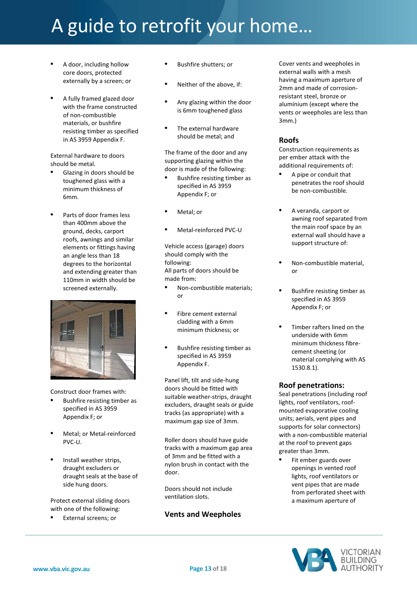- **•** A door, including hollow core doors, protected externally by a screen; or
- **•** A fully framed glazed door with the frame constructed of non-combustible materials, or bushfire resisting timber as specified in AS 3959 Appendix F.

External hardware to doors should be metal.

- **•** Glazing in doors should be toughened glass with a minimum thickness of 6mm.
- **•** Parts of door frames less than 400mm above the ground, decks, carport roofs, awnings and similar elements or fittings having an angle less than 18 degrees to the horizontal and extending greater than 110mm in width should be screened externally.



Construct door frames with:

- **•** Bushfire resisting timber as specified in AS 3959 Appendix F; or
- **•** Metal; or Metal-reinforced PVC-U.
- **•** Install weather strips, draught excluders or draught seals at the base of side hung doors.

Protect external sliding doors with one of the following:

**•** External screens; or

- **•** Bushfire shutters; or
- **•** Neither of the above, if:
- **•** Any glazing within the door is 6mm toughened glass
- **•** The external hardware should be metal; and

The frame of the door and any supporting glazing within the door is made of the following:

- **•** Bushfire resisting timber as specified in AS 3959 Appendix F; or
- **•** Metal; or
- **•** Metal-reinforced PVC-U

Vehicle access (garage) doors should comply with the following: All parts of doors should be made from:

- **•** Non-combustible materials; or
- **•** Fibre cement external cladding with a 6mm minimum thickness; or
- **•** Bushfire resisting timber as specified in AS 3959 Appendix F.

Panel lift, tilt and side-hung doors should be fitted with suitable weather-strips, draught excluders, draught seals or guide tracks (as appropriate) with a maximum gap size of 3mm.

Roller doors should have guide tracks with a maximum gap area of 3mm and be fitted with a nylon brush in contact with the door.

Doors should not include ventilation slots.

### **Vents and Weepholes**

Cover vents and weepholes in external walls with a mesh having a maximum aperture of 2mm and made of corrosionresistant steel, bronze or aluminium (except where the vents or weepholes are less than 3mm.)

### **Roofs**

Construction requirements as per ember attack with the additional requirements of:

- **•** A pipe or conduit that penetrates the roof should be non-combustible.
- **•** A veranda, carport or awning roof separated from the main roof space by an external wall should have a support structure of:
- **•** Non-combustible material, or
- **•** Bushfire resisting timber as specified in AS 3959 Appendix F; or
- **•** Timber rafters lined on the underside with 6mm minimum thickness fibrecement sheeting (or material complying with AS 1530.8.1).

#### **Roof penetrations:**

Seal penetrations (including roof lights, roof ventilators, roofmounted evaporative cooling units; aerials, vent pipes and supports for solar connectors) with a non-combustible material at the roof to prevent gaps greater than 3mm.

**•** Fit ember guards over openings in vented roof lights, roof ventilators or vent pipes that are made from perforated sheet with a maximum aperture of

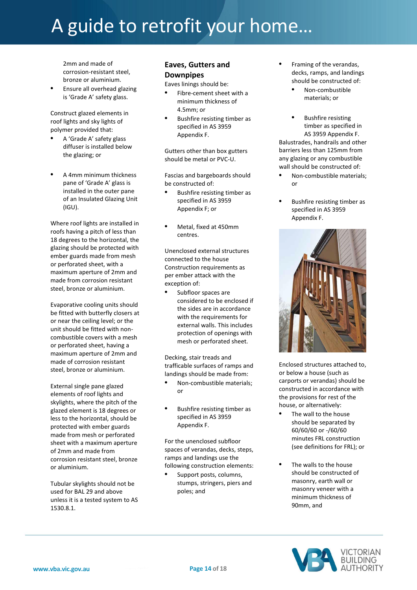2mm and made of corrosion-resistant steel, bronze or aluminium.

**•** Ensure all overhead glazing is 'Grade A' safety glass.

Construct glazed elements in roof lights and sky lights of polymer provided that:

- **•** A 'Grade A' safety glass diffuser is installed below the glazing; or
- **•** A 4mm minimum thickness pane of 'Grade A' glass is installed in the outer pane of an Insulated Glazing Unit (IGU).

Where roof lights are installed in roofs having a pitch of less than 18 degrees to the horizontal, the glazing should be protected with ember guards made from mesh or perforated sheet, with a maximum aperture of 2mm and made from corrosion resistant steel, bronze or aluminium.

Evaporative cooling units should be fitted with butterfly closers at or near the ceiling level; or the unit should be fitted with noncombustible covers with a mesh or perforated sheet, having a maximum aperture of 2mm and made of corrosion resistant steel, bronze or aluminium.

External single pane glazed elements of roof lights and skylights, where the pitch of the glazed element is 18 degrees or less to the horizontal, should be protected with ember guards made from mesh or perforated sheet with a maximum aperture of 2mm and made from corrosion resistant steel, bronze or aluminium.

Tubular skylights should not be used for BAL 29 and above unless it is a tested system to AS 1530.8.1.

### **Eaves, Gutters and Downpipes**

Eaves linings should be:

- **•** Fibre-cement sheet with a minimum thickness of 4.5mm; or
- **•** Bushfire resisting timber as specified in AS 3959 Appendix F.

Gutters other than box gutters should be metal or PVC-U.

Fascias and bargeboards should be constructed of:

- **•** Bushfire resisting timber as specified in AS 3959 Appendix F; or
- **•** Metal, fixed at 450mm centres.

Unenclosed external structures connected to the house Construction requirements as per ember attack with the exception of:

**•** Subfloor spaces are considered to be enclosed if the sides are in accordance with the requirements for external walls. This includes protection of openings with mesh or perforated sheet.

Decking, stair treads and trafficable surfaces of ramps and landings should be made from:

- **•** Non-combustible materials; or
- **•** Bushfire resisting timber as specified in AS 3959 Appendix F.

For the unenclosed subfloor spaces of verandas, decks, steps, ramps and landings use the following construction elements:

**•** Support posts, columns, stumps, stringers, piers and poles; and

- **•** Framing of the verandas, decks, ramps, and landings should be constructed of:
	- **•** Non-combustible materials; or
- **•** Bushfire resisting timber as specified in AS 3959 Appendix F. Balustrades, handrails and other barriers less than 125mm from any glazing or any combustible wall should be constructed of:
- **•** Non-combustible materials; or
- **•** Bushfire resisting timber as specified in AS 3959 Appendix F.



Enclosed structures attached to, or below a house (such as carports or verandas) should be constructed in accordance with the provisions for rest of the house, or alternatively:

- **•** The wall to the house should be separated by 60/60/60 or -/60/60 minutes FRL construction (see definitions for FRL); or
- **•** The walls to the house should be constructed of masonry, earth wall or masonry veneer with a minimum thickness of 90mm, and

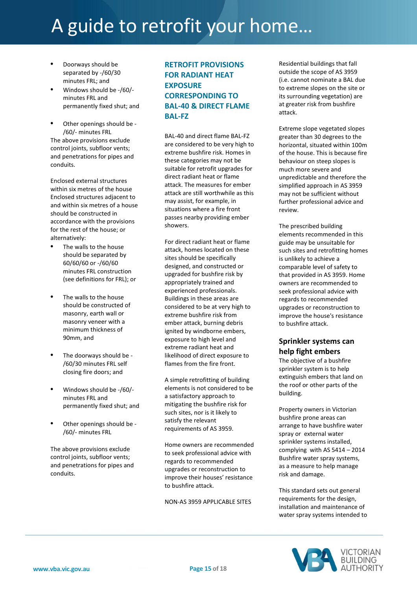- **•** Doorways should be separated by -/60/30 minutes FRL; and
- **•** Windows should be -/60/ minutes FRL and permanently fixed shut; and
- **•** Other openings should be /60/- minutes FRL The above provisions exclude control joints, subfloor vents; and penetrations for pipes and conduits.

Enclosed external structures within six metres of the house Enclosed structures adjacent to and within six metres of a house should be constructed in accordance with the provisions for the rest of the house; or alternatively:

- **•** The walls to the house should be separated by 60/60/60 or -/60/60 minutes FRL construction (see definitions for FRL); or
- **•** The walls to the house should be constructed of masonry, earth wall or masonry veneer with a minimum thickness of 90mm, and
- **•** The doorways should be /60/30 minutes FRL self closing fire doors; and
- **•** Windows should be -/60/ minutes FRL and permanently fixed shut; and
- **•** Other openings should be /60/- minutes FRL

The above provisions exclude control joints, subfloor vents; and penetrations for pipes and conduits.

# **RETROFIT PROVISIONS FOR RADIANT HEAT EXPOSURE CORRESPONDING TO BAL-40 & DIRECT FLAME BAL-FZ**

BAL-40 and direct flame BAL-FZ are considered to be very high to extreme bushfire risk. Homes in these categories may not be suitable for retrofit upgrades for direct radiant heat or flame attack. The measures for ember attack are still worthwhile as this may assist, for example, in situations where a fire front passes nearby providing ember showers.

For direct radiant heat or flame attack, homes located on these sites should be specifically designed, and constructed or upgraded for bushfire risk by appropriately trained and experienced professionals. Buildings in these areas are considered to be at very high to extreme bushfire risk from ember attack, burning debris ignited by windborne embers, exposure to high level and extreme radiant heat and likelihood of direct exposure to flames from the fire front.

A simple retrofitting of building elements is not considered to be a satisfactory approach to mitigating the bushfire risk for such sites, nor is it likely to satisfy the relevant requirements of AS 3959.

Home owners are recommended to seek professional advice with regards to recommended upgrades or reconstruction to improve their houses' resistance to bushfire attack.

NON-AS 3959 APPLICABLE SITES

Residential buildings that fall outside the scope of AS 3959 (i.e. cannot nominate a BAL due to extreme slopes on the site or its surrounding vegetation) are at greater risk from bushfire attack.

Extreme slope vegetated slopes greater than 30 degrees to the horizontal, situated within 100m of the house. This is because fire behaviour on steep slopes is much more severe and unpredictable and therefore the simplified approach in AS 3959 may not be sufficient without further professional advice and review.

The prescribed building elements recommended in this guide may be unsuitable for such sites and retrofitting homes is unlikely to achieve a comparable level of safety to that provided in AS 3959. Home owners are recommended to seek professional advice with regards to recommended upgrades or reconstruction to improve the house's resistance to bushfire attack.

### **Sprinkler systems can help fight embers**

The objective of a bushfire sprinkler system is to help extinguish embers that land on the roof or other parts of the building.

Property owners in Victorian bushfire prone areas can arrange to have bushfire water spray or external water sprinkler systems installed, complying with AS 5414 – 2014 Bushfire water spray systems, as a measure to help manage risk and damage.

This standard sets out general requirements for the design, installation and maintenance of water spray systems intended to

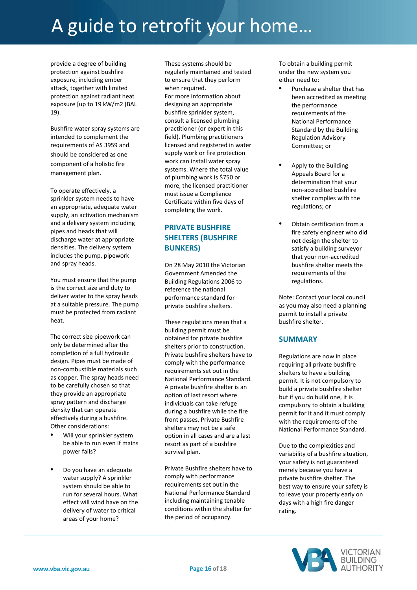provide a degree of building protection against bushfire exposure, including ember attack, together with limited protection against radiant heat exposure [up to 19 kW/m2 (BAL 19).

Bushfire water spray systems are intended to complement the requirements of AS 3959 and should be considered as one component of a holistic fire management plan.

To operate effectively, a sprinkler system needs to have an appropriate, adequate water supply, an activation mechanism and a delivery system including pipes and heads that will discharge water at appropriate densities. The delivery system includes the pump, pipework and spray heads.

You must ensure that the pump is the correct size and duty to deliver water to the spray heads at a suitable pressure. The pump must be protected from radiant heat.

The correct size pipework can only be determined after the completion of a full hydraulic design. Pipes must be made of non-combustible materials such as copper. The spray heads need to be carefully chosen so that they provide an appropriate spray pattern and discharge density that can operate effectively during a bushfire. Other considerations:

- **•** Will your sprinkler system be able to run even if mains power fails?
- **•** Do you have an adequate water supply? A sprinkler system should be able to run for several hours. What effect will wind have on the delivery of water to critical areas of your home?

These systems should be regularly maintained and tested to ensure that they perform when required. For more information about designing an appropriate bushfire sprinkler system, consult a licensed plumbing practitioner (or expert in this field). Plumbing practitioners licensed and registered in water supply work or fire protection work can install water spray systems. Where the total value of plumbing work is \$750 or more, the licensed practitioner must issue a Compliance Certificate within five days of completing the work.

# **PRIVATE BUSHFIRE SHELTERS (BUSHFIRE BUNKERS)**

On 28 May 2010 the Victorian Government Amended the Building Regulations 2006 to reference the national performance standard for private bushfire shelters.

These regulations mean that a building permit must be obtained for private bushfire shelters prior to construction. Private bushfire shelters have to comply with the performance requirements set out in the National Performance Standard. A private bushfire shelter is an option of last resort where individuals can take refuge during a bushfire while the fire front passes. Private Bushfire shelters may not be a safe option in all cases and are a last resort as part of a bushfire survival plan.

Private Bushfire shelters have to comply with performance requirements set out in the National Performance Standard including maintaining tenable conditions within the shelter for the period of occupancy.

To obtain a building permit under the new system you either need to:

- **•** Purchase a shelter that has been accredited as meeting the performance requirements of the National Performance Standard by the Building Regulation Advisory Committee; or
- **•** Apply to the Building Appeals Board for a determination that your non-accredited bushfire shelter complies with the regulations; or
- **•** Obtain certification from a fire safety engineer who did not design the shelter to satisfy a building surveyor that your non-accredited bushfire shelter meets the requirements of the regulations.

Note: Contact your local council as you may also need a planning permit to install a private bushfire shelter.

#### **SUMMARY**

Regulations are now in place requiring all private bushfire shelters to have a building permit. It is not compulsory to build a private bushfire shelter but if you do build one, it is compulsory to obtain a building permit for it and it must comply with the requirements of the National Performance Standard.

Due to the complexities and variability of a bushfire situation, your safety is not guaranteed merely because you have a private bushfire shelter. The best way to ensure your safety is to leave your property early on days with a high fire danger rating.

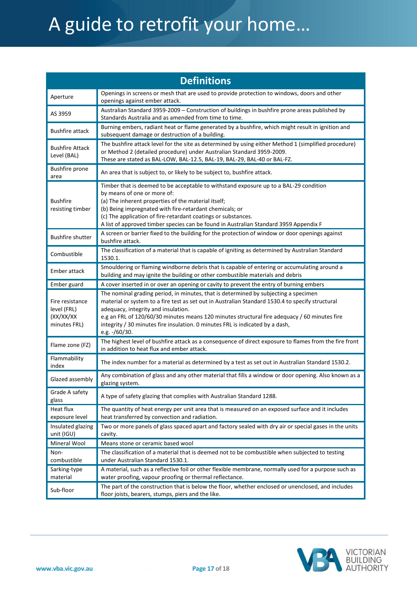| <b>Definitions</b>                                           |                                                                                                                                                                                                                                                                                                                                                                                                                                  |  |  |
|--------------------------------------------------------------|----------------------------------------------------------------------------------------------------------------------------------------------------------------------------------------------------------------------------------------------------------------------------------------------------------------------------------------------------------------------------------------------------------------------------------|--|--|
| Aperture                                                     | Openings in screens or mesh that are used to provide protection to windows, doors and other<br>openings against ember attack.                                                                                                                                                                                                                                                                                                    |  |  |
| AS 3959                                                      | Australian Standard 3959-2009 - Construction of buildings in bushfire prone areas published by<br>Standards Australia and as amended from time to time.                                                                                                                                                                                                                                                                          |  |  |
| <b>Bushfire attack</b>                                       | Burning embers, radiant heat or flame generated by a bushfire, which might result in ignition and<br>subsequent damage or destruction of a building.                                                                                                                                                                                                                                                                             |  |  |
| <b>Bushfire Attack</b><br>Level (BAL)                        | The bushfire attack level for the site as determined by using either Method 1 (simplified procedure)<br>or Method 2 (detailed procedure) under Australian Standard 3959-2009.<br>These are stated as BAL-LOW, BAL-12.5, BAL-19, BAL-29, BAL-40 or BAL-FZ.                                                                                                                                                                        |  |  |
| Bushfire prone<br>area                                       | An area that is subject to, or likely to be subject to, bushfire attack.                                                                                                                                                                                                                                                                                                                                                         |  |  |
| <b>Bushfire</b><br>resisting timber                          | Timber that is deemed to be acceptable to withstand exposure up to a BAL-29 condition<br>by means of one or more of:<br>(a) The inherent properties of the material itself;<br>(b) Being impregnated with fire-retardant chemicals; or<br>(c) The application of fire-retardant coatings or substances.<br>A list of approved timber species can be found in Australian Standard 3959 Appendix F                                 |  |  |
| <b>Bushfire shutter</b>                                      | A screen or barrier fixed to the building for the protection of window or door openings against<br>bushfire attack.                                                                                                                                                                                                                                                                                                              |  |  |
| Combustible                                                  | The classification of a material that is capable of igniting as determined by Australian Standard<br>1530.1.                                                                                                                                                                                                                                                                                                                     |  |  |
| Ember attack                                                 | Smouldering or flaming windborne debris that is capable of entering or accumulating around a<br>building and may ignite the building or other combustible materials and debris                                                                                                                                                                                                                                                   |  |  |
| Ember guard                                                  | A cover inserted in or over an opening or cavity to prevent the entry of burning embers                                                                                                                                                                                                                                                                                                                                          |  |  |
| Fire resistance<br>level (FRL)<br>(XX/XX/XX)<br>minutes FRL) | The nominal grading period, in minutes, that is determined by subjecting a specimen<br>material or system to a fire test as set out in Australian Standard 1530.4 to specify structural<br>adequacy, integrity and insulation.<br>e.g an FRL of 120/60/30 minutes means 120 minutes structural fire adequacy / 60 minutes fire<br>integrity / 30 minutes fire insulation. 0 minutes FRL is indicated by a dash,<br>e.g. -/60/30. |  |  |
| Flame zone (FZ)                                              | The highest level of bushfire attack as a consequence of direct exposure to flames from the fire front<br>in addition to heat flux and ember attack.                                                                                                                                                                                                                                                                             |  |  |
| Flammability<br>index                                        | The index number for a material as determined by a test as set out in Australian Standard 1530.2.                                                                                                                                                                                                                                                                                                                                |  |  |
| Glazed assembly                                              | Any combination of glass and any other material that fills a window or door opening. Also known as a<br>glazing system.                                                                                                                                                                                                                                                                                                          |  |  |
| Grade A safety<br>glass                                      | A type of safety glazing that complies with Australian Standard 1288.                                                                                                                                                                                                                                                                                                                                                            |  |  |
| Heat flux<br>exposure level                                  | The quantity of heat energy per unit area that is measured on an exposed surface and it includes<br>heat transferred by convection and radiation.                                                                                                                                                                                                                                                                                |  |  |
| Insulated glazing<br>unit (IGU)                              | Two or more panels of glass spaced apart and factory sealed with dry air or special gases in the units<br>cavity.                                                                                                                                                                                                                                                                                                                |  |  |
| Mineral Wool                                                 | Means stone or ceramic based wool                                                                                                                                                                                                                                                                                                                                                                                                |  |  |
| Non-<br>combustible                                          | The classification of a material that is deemed not to be combustible when subjected to testing<br>under Australian Standard 1530.1.                                                                                                                                                                                                                                                                                             |  |  |
| Sarking-type<br>material                                     | A material, such as a reflective foil or other flexible membrane, normally used for a purpose such as<br>water proofing, vapour proofing or thermal reflectance.                                                                                                                                                                                                                                                                 |  |  |
| Sub-floor                                                    | The part of the construction that is below the floor, whether enclosed or unenclosed, and includes<br>floor joists, bearers, stumps, piers and the like.                                                                                                                                                                                                                                                                         |  |  |